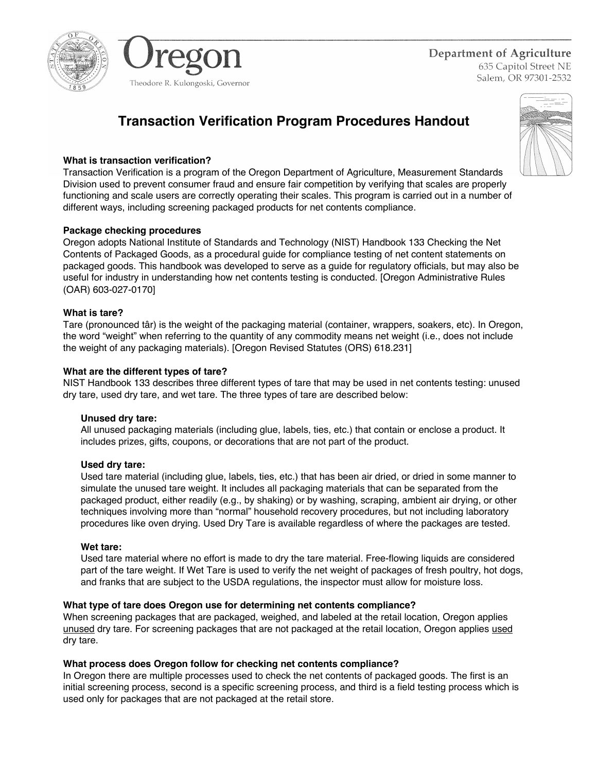



Department of Agriculture 635 Capitol Street NE Salem, OR 97301-2532

# **Transaction Verification Program Procedures Handout**

## **What is transaction verification?**

Transaction Verification is a program of the Oregon Department of Agriculture, Measurement Standards Division used to prevent consumer fraud and ensure fair competition by verifying that scales are properly functioning and scale users are correctly operating their scales. This program is carried out in a number of different ways, including screening packaged products for net contents compliance.

## **Package checking procedures**

Oregon adopts National Institute of Standards and Technology (NIST) Handbook 133 Checking the Net Contents of Packaged Goods, as a procedural guide for compliance testing of net content statements on packaged goods. This handbook was developed to serve as a guide for regulatory officials, but may also be useful for industry in understanding how net contents testing is conducted. [Oregon Administrative Rules (OAR) 603-027-0170]

## **What is tare?**

Tare (pronounced târ) is the weight of the packaging material (container, wrappers, soakers, etc). In Oregon, the word "weight" when referring to the quantity of any commodity means net weight (i.e., does not include the weight of any packaging materials). [Oregon Revised Statutes (ORS) 618.231]

## **What are the different types of tare?**

NIST Handbook 133 describes three different types of tare that may be used in net contents testing: unused dry tare, used dry tare, and wet tare. The three types of tare are described below:

## **Unused dry tare:**

All unused packaging materials (including glue, labels, ties, etc.) that contain or enclose a product. It includes prizes, gifts, coupons, or decorations that are not part of the product.

## **Used dry tare:**

Used tare material (including glue, labels, ties, etc.) that has been air dried, or dried in some manner to simulate the unused tare weight. It includes all packaging materials that can be separated from the packaged product, either readily (e.g., by shaking) or by washing, scraping, ambient air drying, or other techniques involving more than "normal" household recovery procedures, but not including laboratory procedures like oven drying. Used Dry Tare is available regardless of where the packages are tested.

## **Wet tare:**

Used tare material where no effort is made to dry the tare material. Free-flowing liquids are considered part of the tare weight. If Wet Tare is used to verify the net weight of packages of fresh poultry, hot dogs, and franks that are subject to the USDA regulations, the inspector must allow for moisture loss.

## **What type of tare does Oregon use for determining net contents compliance?**

When screening packages that are packaged, weighed, and labeled at the retail location, Oregon applies unused dry tare. For screening packages that are not packaged at the retail location, Oregon applies used dry tare.

## **What process does Oregon follow for checking net contents compliance?**

In Oregon there are multiple processes used to check the net contents of packaged goods. The first is an initial screening process, second is a specific screening process, and third is a field testing process which is used only for packages that are not packaged at the retail store.